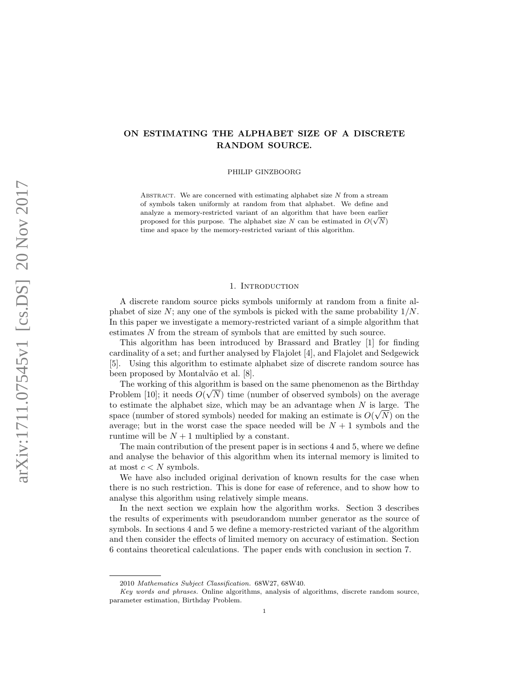# ON ESTIMATING THE ALPHABET SIZE OF A DISCRETE RANDOM SOURCE.

PHILIP GINZBOORG

ABSTRACT. We are concerned with estimating alphabet size  $N$  from a stream of symbols taken uniformly at random from that alphabet. We define and analyze a memory-restricted variant of an algorithm that have been earlier proposed for this purpose. The alphabet size N can be estimated in  $O(\sqrt{N})$ time and space by the memory-restricted variant of this algorithm.

## 1. INTRODUCTION

A discrete random source picks symbols uniformly at random from a finite alphabet of size  $N$ ; any one of the symbols is picked with the same probability  $1/N$ . In this paper we investigate a memory-restricted variant of a simple algorithm that estimates N from the stream of symbols that are emitted by such source.

This algorithm has been introduced by Brassard and Bratley [1] for finding cardinality of a set; and further analysed by Flajolet [4], and Flajolet and Sedgewick [5]. Using this algorithm to estimate alphabet size of discrete random source has been proposed by Montalvão et al. [8].

The working of this algorithm is based on the same phenomenon as the Birthday Problem [10]; it needs  $O(\sqrt{N})$  time (number of observed symbols) on the average to estimate the alphabet size, which may be an advantage when  $N$  is large. The space (number of stored symbols) needed for making an estimate is  $O(\sqrt{N})$  on the average; but in the worst case the space needed will be  $N+1$  symbols and the runtime will be  $N + 1$  multiplied by a constant.

The main contribution of the present paper is in sections 4 and 5, where we define and analyse the behavior of this algorithm when its internal memory is limited to at most  $c < N$  symbols.

We have also included original derivation of known results for the case when there is no such restriction. This is done for ease of reference, and to show how to analyse this algorithm using relatively simple means.

In the next section we explain how the algorithm works. Section 3 describes the results of experiments with pseudorandom number generator as the source of symbols. In sections 4 and 5 we define a memory-restricted variant of the algorithm and then consider the effects of limited memory on accuracy of estimation. Section 6 contains theoretical calculations. The paper ends with conclusion in section 7.

<sup>2010</sup> Mathematics Subject Classification. 68W27, 68W40.

Key words and phrases. Online algorithms, analysis of algorithms, discrete random source, parameter estimation, Birthday Problem.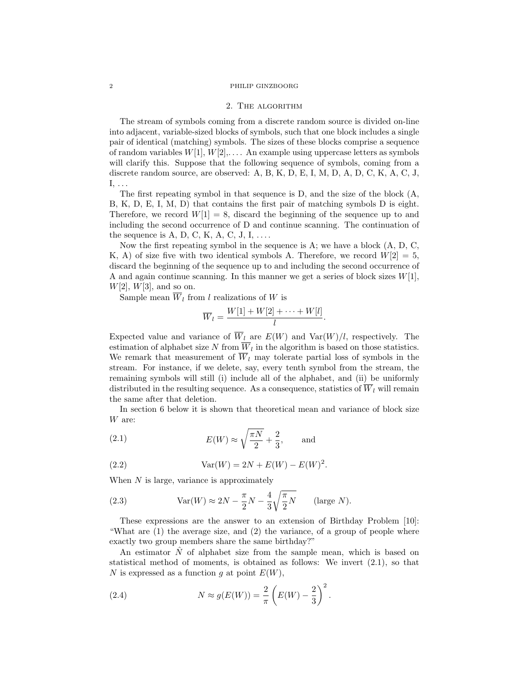#### 2 PHILIP GINZBOORG

#### 2. The algorithm

The stream of symbols coming from a discrete random source is divided on-line into adjacent, variable-sized blocks of symbols, such that one block includes a single pair of identical (matching) symbols. The sizes of these blocks comprise a sequence of random variables  $W[1], W[2], \ldots$ . An example using uppercase letters as symbols will clarify this. Suppose that the following sequence of symbols, coming from a discrete random source, are observed: A, B, K, D, E, I, M, D, A, D, C, K, A, C, J,  $I, \ldots$ 

The first repeating symbol in that sequence is D, and the size of the block (A, B, K, D, E, I, M, D) that contains the first pair of matching symbols D is eight. Therefore, we record  $W[1] = 8$ , discard the beginning of the sequence up to and including the second occurrence of D and continue scanning. The continuation of the sequence is  $A, D, C, K, A, C, J, I, \ldots$ .

Now the first repeating symbol in the sequence is  $A$ ; we have a block  $(A, D, C, \mathbb{R})$ K, A) of size five with two identical symbols A. Therefore, we record  $W[2] = 5$ , discard the beginning of the sequence up to and including the second occurrence of A and again continue scanning. In this manner we get a series of block sizes  $W[1]$ ,  $W[2]$ ,  $W[3]$ , and so on.

Sample mean  $\overline{W}_l$  from l realizations of W is

$$
\overline{W}_l = \frac{W[1] + W[2] + \cdots + W[l]}{l}.
$$

Expected value and variance of  $\overline{W}_l$  are  $E(W)$  and  $Var(W)/l$ , respectively. The estimation of alphabet size  $N$  from  $W_l$  in the algorithm is based on those statistics. We remark that measurement of  $\overline{W}_l$  may tolerate partial loss of symbols in the stream. For instance, if we delete, say, every tenth symbol from the stream, the remaining symbols will still (i) include all of the alphabet, and (ii) be uniformly distributed in the resulting sequence. As a consequence, statistics of  $\overline{W}_l$  will remain the same after that deletion.

In section 6 below it is shown that theoretical mean and variance of block size W are:

(2.1) 
$$
E(W) \approx \sqrt{\frac{\pi N}{2}} + \frac{2}{3}, \quad \text{and}
$$

(2.2) 
$$
Var(W) = 2N + E(W) - E(W)^{2}.
$$

When  $N$  is large, variance is approximately

(2.3) 
$$
Var(W) \approx 2N - \frac{\pi}{2}N - \frac{4}{3}\sqrt{\frac{\pi}{2}N} \quad \text{(large } N\text{)}.
$$

These expressions are the answer to an extension of Birthday Problem [10]: "What are (1) the average size, and (2) the variance, of a group of people where exactly two group members share the same birthday?"

An estimator  $\hat{N}$  of alphabet size from the sample mean, which is based on statistical method of moments, is obtained as follows: We invert (2.1), so that N is expressed as a function g at point  $E(W)$ ,

(2.4) 
$$
N \approx g(E(W)) = \frac{2}{\pi} \left( E(W) - \frac{2}{3} \right)^2.
$$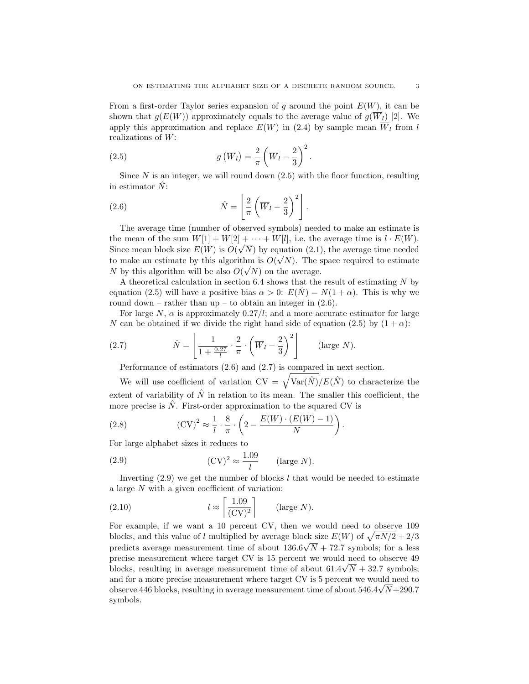From a first-order Taylor series expansion of g around the point  $E(W)$ , it can be shown that  $g(E(W))$  approximately equals to the average value of  $g(\overline{W}_l)$  [2]. We apply this approximation and replace  $E(W)$  in (2.4) by sample mean  $\overline{W}_l$  from l realizations of W:

(2.5) 
$$
g\left(\overline{W}_l\right) = \frac{2}{\pi} \left(\overline{W}_l - \frac{2}{3}\right)^2.
$$

Since  $N$  is an integer, we will round down  $(2.5)$  with the floor function, resulting in estimator  $N$ :

(2.6) 
$$
\hat{N} = \left[ \frac{2}{\pi} \left( \overline{W}_l - \frac{2}{3} \right)^2 \right].
$$

The average time (number of observed symbols) needed to make an estimate is the mean of the sum  $W[1] + W[2] + \cdots + W[l]$ , i.e. the average time is  $l \cdot E(W)$ . Since mean block size  $E(W)$  is  $O(\sqrt{N})$  by equation (2.1), the average time needed to make an estimate by this algorithm is  $O(\sqrt{N})$ . The space required to estimate N by this algorithm will be also  $O(\sqrt{N})$  on the average.

A theoretical calculation in section 6.4 shows that the result of estimating N by equation (2.5) will have a positive bias  $\alpha > 0$ :  $E(N) = N(1 + \alpha)$ . This is why we round down – rather than up – to obtain an integer in  $(2.6)$ .

For large N,  $\alpha$  is approximately 0.27/l; and a more accurate estimator for large N can be obtained if we divide the right hand side of equation (2.5) by  $(1 + \alpha)$ :

(2.7) 
$$
\hat{N} = \left[ \frac{1}{1 + \frac{0.27}{l}} \cdot \frac{2}{\pi} \cdot \left( \overline{W}_l - \frac{2}{3} \right)^2 \right] \quad \text{(large } N\text{)}.
$$

Performance of estimators (2.6) and (2.7) is compared in next section.

We will use coefficient of variation  $CV = \sqrt{Var(\hat{N})}/E(\hat{N})$  to characterize the extent of variability of  $\hat{N}$  in relation to its mean. The smaller this coefficient, the more precise is  $\ddot{N}$ . First-order approximation to the squared CV is

(2.8) 
$$
(\text{CV})^2 \approx \frac{1}{l} \cdot \frac{8}{\pi} \cdot \left(2 - \frac{E(W) \cdot (E(W) - 1)}{N}\right).
$$

For large alphabet sizes it reduces to

(2.9) 
$$
(\text{CV})^2 \approx \frac{1.09}{l} \quad (\text{large } N).
$$

Inverting  $(2.9)$  we get the number of blocks l that would be needed to estimate a large N with a given coefficient of variation:

(2.10) 
$$
l \approx \left\lceil \frac{1.09}{(\text{CV})^2} \right\rceil \qquad \text{(large } N\text{)}.
$$

For example, if we want a 10 percent CV, then we would need to observe 109 blocks, and this value of l multiplied by average block size  $E(W)$  of  $\sqrt{\pi N/2} + 2/3$ predicts average measurement time of about  $136.6\sqrt{N} + 72.7$  symbols; for a less precise measurement where target CV is 15 percent we would need to observe 49 blocks, resulting in average measurement time of about  $61.4\sqrt{N} + 32.7$  symbols; and for a more precise measurement where target CV is 5 percent we would need to observe 446 blocks, resulting in average measurement time of about  $546.4\sqrt{N+290.7}$ symbols.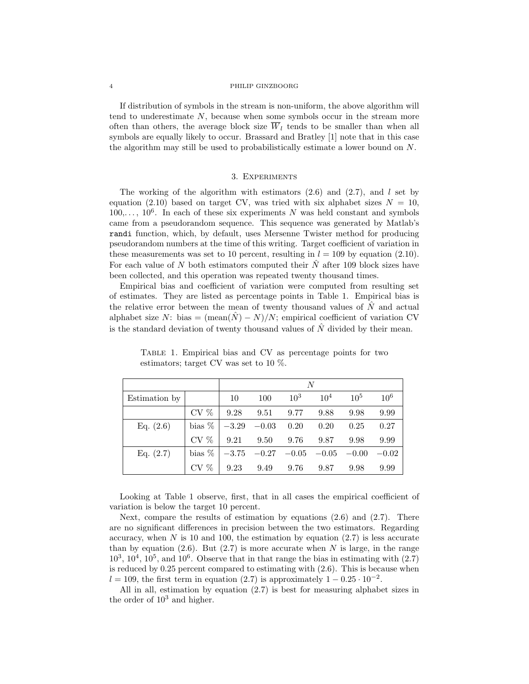#### 4 PHILIP GINZBOORG

If distribution of symbols in the stream is non-uniform, the above algorithm will tend to underestimate  $N$ , because when some symbols occur in the stream more often than others, the average block size  $\overline{W}_l$  tends to be smaller than when all symbols are equally likely to occur. Brassard and Bratley [1] note that in this case the algorithm may still be used to probabilistically estimate a lower bound on N.

# 3. Experiments

The working of the algorithm with estimators  $(2.6)$  and  $(2.7)$ , and l set by equation (2.10) based on target CV, was tried with six alphabet sizes  $N = 10$ ,  $100,\ldots, 10^6$ . In each of these six experiments N was held constant and symbols came from a pseudorandom sequence. This sequence was generated by Matlab's randi function, which, by default, uses Mersenne Twister method for producing pseudorandom numbers at the time of this writing. Target coefficient of variation in these measurements was set to 10 percent, resulting in  $l = 109$  by equation (2.10). For each value of N both estimators computed their  $\hat{N}$  after 109 block sizes have been collected, and this operation was repeated twenty thousand times.

Empirical bias and coefficient of variation were computed from resulting set of estimates. They are listed as percentage points in Table 1. Empirical bias is the relative error between the mean of twenty thousand values of  $N$  and actual alphabet size N: bias =  $(\text{mean}(\hat{N}) - N)/N$ ; empirical coefficient of variation CV is the standard deviation of twenty thousand values of  $\hat{N}$  divided by their mean.

|               |          | N       |         |                 |          |          |                 |
|---------------|----------|---------|---------|-----------------|----------|----------|-----------------|
| Estimation by |          | 10      | 100     | 10 <sup>3</sup> | $10^{4}$ | $10^{5}$ | 10 <sup>6</sup> |
|               | $CV \%$  | 9.28    | 9.51    | 9.77            | 9.88     | 9.98     | 9.99            |
| Eq. $(2.6)$   | bias $%$ | $-3.29$ | $-0.03$ | 0.20            | 0.20     | 0.25     | 0.27            |
|               | $CV \%$  | 9.21    | 9.50    | 9.76            | 9.87     | 9.98     | 9.99            |
| Eq. $(2.7)$   | bias $%$ | $-3.75$ | $-0.27$ | $-0.05$         | $-0.05$  | $-0.00$  | $-0.02$         |
|               | $CV \%$  | 9.23    | 9.49    | 9.76            | 9.87     | 9.98     | 9.99            |

Table 1. Empirical bias and CV as percentage points for two estimators; target CV was set to 10 %.

Looking at Table 1 observe, first, that in all cases the empirical coefficient of variation is below the target 10 percent.

Next, compare the results of estimation by equations  $(2.6)$  and  $(2.7)$ . There are no significant differences in precision between the two estimators. Regarding accuracy, when  $N$  is 10 and 100, the estimation by equation  $(2.7)$  is less accurate than by equation  $(2.6)$ . But  $(2.7)$  is more accurate when N is large, in the range  $10^3$ ,  $10^4$ ,  $10^5$ , and  $10^6$ . Observe that in that range the bias in estimating with  $(2.7)$ is reduced by 0.25 percent compared to estimating with (2.6). This is because when  $l = 109$ , the first term in equation (2.7) is approximately  $1 - 0.25 \cdot 10^{-2}$ .

All in all, estimation by equation (2.7) is best for measuring alphabet sizes in the order of  $10<sup>3</sup>$  and higher.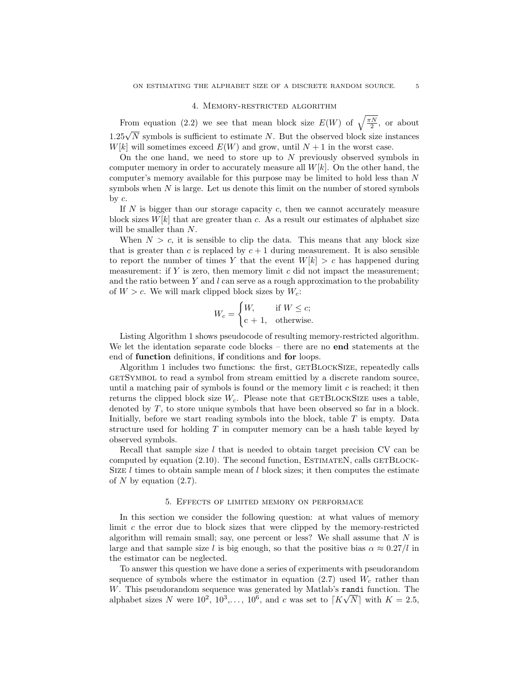#### 4. Memory-restricted algorithm

From equation (2.2) we see that mean block size  $E(W)$  of  $\sqrt{\frac{\pi N}{2}}$ , or about 1.25√ $\overline{N}$  symbols is sufficient to estimate N. But the observed block size instances  $W[k]$  will sometimes exceed  $E(W)$  and grow, until  $N+1$  in the worst case.

On the one hand, we need to store up to  $N$  previously observed symbols in computer memory in order to accurately measure all  $W[k]$ . On the other hand, the computer's memory available for this purpose may be limited to hold less than N symbols when  $N$  is large. Let us denote this limit on the number of stored symbols by  $c$ .

If  $N$  is bigger than our storage capacity  $c$ , then we cannot accurately measure block sizes  $W[k]$  that are greater than c. As a result our estimates of alphabet size will be smaller than N.

When  $N > c$ , it is sensible to clip the data. This means that any block size that is greater than c is replaced by  $c + 1$  during measurement. It is also sensible to report the number of times Y that the event  $W[k] > c$  has happened during measurement: if  $Y$  is zero, then memory limit  $c$  did not impact the measurement; and the ratio between Y and  $l$  can serve as a rough approximation to the probability of  $W > c$ . We will mark clipped block sizes by  $W_c$ :

$$
W_c = \begin{cases} W, & \text{if } W \le c; \\ c+1, & \text{otherwise.} \end{cases}
$$

Listing Algorithm 1 shows pseudocode of resulting memory-restricted algorithm. We let the identation separate code blocks – there are no **end** statements at the end of function definitions, if conditions and for loops.

Algorithm 1 includes two functions: the first, GETBLOCKSIZE, repeatedly calls getSymbol to read a symbol from stream emittied by a discrete random source, until a matching pair of symbols is found or the memory limit  $c$  is reached; it then returns the clipped block size  $W_c$ . Please note that GETBLOCKSIZE uses a table, denoted by T, to store unique symbols that have been observed so far in a block. Initially, before we start reading symbols into the block, table  $T$  is empty. Data structure used for holding  $T$  in computer memory can be a hash table keyed by observed symbols.

Recall that sample size  $l$  that is needed to obtain target precision CV can be computed by equation  $(2.10)$ . The second function, ESTIMATEN, calls GETBLOCK-SIZE  $l$  times to obtain sample mean of  $l$  block sizes; it then computes the estimate of N by equation  $(2.7)$ .

## 5. Effects of limited memory on performace

In this section we consider the following question: at what values of memory limit c the error due to block sizes that were clipped by the memory-restricted algorithm will remain small; say, one percent or less? We shall assume that  $N$  is large and that sample size l is big enough, so that the positive bias  $\alpha \approx 0.27/l$  in the estimator can be neglected.

To answer this question we have done a series of experiments with pseudorandom sequence of symbols where the estimator in equation (2.7) used  $W_c$  rather than W. This pseudorandom sequence was generated by Matlab's randi function. The alphabet sizes N were  $10^2, 10^3, \ldots, 10^6$ , and c was set to  $\lceil K\sqrt{N} \rceil$  with  $K = 2.5$ ,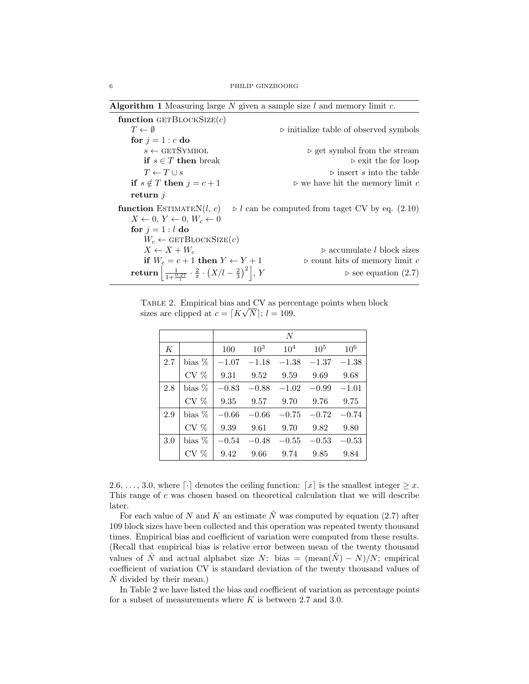| <b>Algorithm 1</b> Measuring large N given a sample size $l$ and memory limit $c$ .       |                                                                |  |  |  |  |  |
|-------------------------------------------------------------------------------------------|----------------------------------------------------------------|--|--|--|--|--|
| function GETBLOCKSIZE $(c)$                                                               |                                                                |  |  |  |  |  |
| $T \leftarrow \emptyset$                                                                  | $\triangleright$ initialize table of observed symbols          |  |  |  |  |  |
| for $j = 1 : c$ do                                                                        |                                                                |  |  |  |  |  |
| $s \leftarrow$ GETSYMBOL                                                                  | $\triangleright$ get symbol from the stream                    |  |  |  |  |  |
| <b>if</b> $s \in T$ then break                                                            | $\triangleright$ exit the for loop                             |  |  |  |  |  |
| $T \leftarrow T \cup s$                                                                   | $\triangleright$ insert s into the table                       |  |  |  |  |  |
| if $s \notin T$ then $j = c + 1$                                                          | $\triangleright$ we have hit the memory limit c                |  |  |  |  |  |
| return $i$                                                                                |                                                                |  |  |  |  |  |
| function ESTIMATEN $(l, c)$                                                               | $\triangleright$ l can be computed from taget CV by eq. (2.10) |  |  |  |  |  |
| $X \leftarrow 0, Y \leftarrow 0, W_c \leftarrow 0$                                        |                                                                |  |  |  |  |  |
| for $j = 1 : l$ do                                                                        |                                                                |  |  |  |  |  |
| $W_c \leftarrow$ GETBLOCKSIZE $(c)$                                                       |                                                                |  |  |  |  |  |
| $X \leftarrow X + W_c$                                                                    | $\triangleright$ accumulate l block sizes                      |  |  |  |  |  |
| if $W_c = c + 1$ then $Y \leftarrow Y + 1$                                                | $\triangleright$ count hits of memory limit c                  |  |  |  |  |  |
| return $\frac{1}{1+\frac{0.27}{0.2}} \cdot \frac{2}{\pi} \cdot (X/l - \frac{2}{3})^2$ , Y | $\triangleright$ see equation (2.7)                            |  |  |  |  |  |

TABLE 2. Empirical bias and  $\overline{\text{CV}}$  as percentage points when block sizes are clipped at  $c = [K\sqrt{N}]; l = 109$ .

|     |          |         |                 | N        |         |                 |
|-----|----------|---------|-----------------|----------|---------|-----------------|
| K   |          | 100     | 10 <sup>3</sup> | $10^{4}$ | $10^5$  | 10 <sup>6</sup> |
| 2.7 | bias $%$ | $-1.07$ | $-1.18$         | $-1.38$  | $-1.37$ | $-1.38$         |
|     | $CV \%$  | 9.31    | 9.52            | 9.59     | 9.69    | 9.68            |
| 2.8 | bias $%$ | $-0.83$ | $-0.88$         | $-1.02$  | $-0.99$ | $-1.01$         |
|     | $CV \%$  | 9.35    | 9.57            | 9.70     | 9.76    | 9.75            |
| 2.9 | bias $%$ | $-0.66$ | $-0.66$         | $-0.75$  | $-0.72$ | $-0.74$         |
|     | $CV \%$  | 9.39    | 9.61            | 9.70     | 9.82    | 9.80            |
| 3.0 | bias %   | $-0.54$ | $-0.48$         | $-0.55$  | $-0.53$ | $-0.53$         |
|     | CV %     | 9.42    | 9.66            | 9.74     | 9.85    | 9.84            |

2.6, ..., 3.0, where  $\lceil \cdot \rceil$  denotes the ceiling function:  $\lceil x \rceil$  is the smallest integer  $\geq x$ . This range of c was chosen based on theoretical calculation that we will describe later.

For each value of N and K an estimate  $\hat{N}$  was computed by equation (2.7) after 109 block sizes have been collected and this operation was repeated twenty thousand times. Empirical bias and coefficient of variation were computed from these results. (Recall that empirical bias is relative error between mean of the twenty thousand values of  $\hat{N}$  and actual alphabet size  $N$ : bias =  $(\text{mean}(\hat{N}) - N)/N$ ; empirical coefficient of variation CV is standard deviation of the twenty thousand values of  $\hat{N}$  divided by their mean.)

In Table 2 we have listed the bias and coefficient of variation as percentage points for a subset of measurements where  $K$  is between 2.7 and 3.0.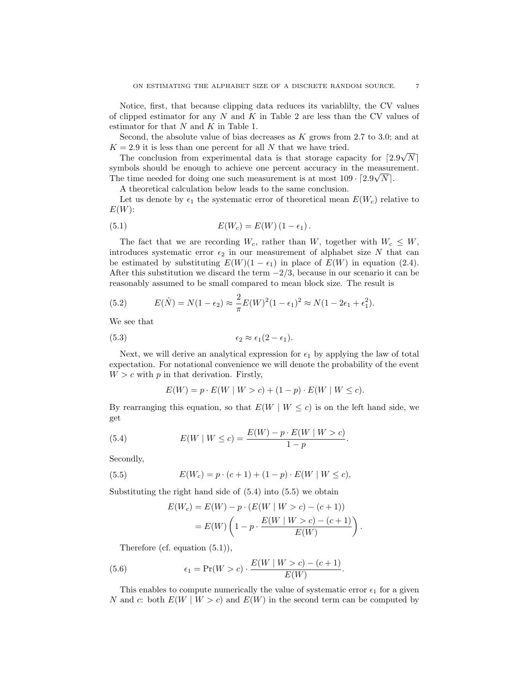Notice, first, that because clipping data reduces its variablilty, the CV values of clipped estimator for any  $N$  and  $K$  in Table 2 are less than the CV values of estimator for that  $N$  and  $K$  in Table 1.

Second, the absolute value of bias decreases as  $K$  grows from 2.7 to 3.0; and at  $K = 2.9$  it is less than one percent for all N that we have tried. √

The conclusion from experimental data is that storage capacity for  $\lceil 2.9 \rceil$  $N$   $\vert$ symbols should be enough to achieve one percent accuracy in the measurement. The time needed for doing one such measurement is at most  $109 \cdot [2.9\sqrt{N}]$ .

A theoretical calculation below leads to the same conclusion.

Let us denote by  $\epsilon_1$  the systematic error of theoretical mean  $E(W_c)$  relative to  $E(W)$ :

(5.1) 
$$
E(W_c) = E(W) (1 - \epsilon_1).
$$

The fact that we are recording  $W_c$ , rather than W, together with  $W_c \leq W$ , introduces systematic error  $\epsilon_2$  in our measurement of alphabet size N that can be estimated by substituting  $E(W)(1 - \epsilon_1)$  in place of  $E(W)$  in equation (2.4). After this substitution we discard the term  $-2/3$ , because in our scenario it can be reasonably assumed to be small compared to mean block size. The result is

(5.2) 
$$
E(\hat{N}) = N(1 - \epsilon_2) \approx \frac{2}{\pi} E(W)^2 (1 - \epsilon_1)^2 \approx N(1 - 2\epsilon_1 + \epsilon_1^2).
$$

We see that

$$
(5.3) \qquad \qquad \epsilon_2 \approx \epsilon_1 (2 - \epsilon_1).
$$

Next, we will derive an analytical expression for  $\epsilon_1$  by applying the law of total expectation. For notational convenience we will denote the probability of the event  $W > c$  with p in that derivation. Firstly,

$$
E(W) = p \cdot E(W \mid W > c) + (1 - p) \cdot E(W \mid W \le c).
$$

By rearranging this equation, so that  $E(W \mid W \leq c)$  is on the left hand side, we get

(5.4) 
$$
E(W \mid W \le c) = \frac{E(W) - p \cdot E(W \mid W > c)}{1 - p}.
$$

Secondly,

(5.5) 
$$
E(W_c) = p \cdot (c+1) + (1-p) \cdot E(W \mid W \le c),
$$

Substituting the right hand side of  $(5.4)$  into  $(5.5)$  we obtain

$$
E(W_c) = E(W) - p \cdot (E(W \mid W > c) - (c + 1))
$$
  
=  $E(W) \left( 1 - p \cdot \frac{E(W \mid W > c) - (c + 1)}{E(W)} \right)$ 

.

Therefore (cf. equation (5.1)),

(5.6) 
$$
\epsilon_1 = \Pr(W > c) \cdot \frac{E(W \mid W > c) - (c+1)}{E(W)}.
$$

This enables to compute numerically the value of systematic error  $\epsilon_1$  for a given N and c: both  $E(W \mid W > c)$  and  $E(W)$  in the second term can be computed by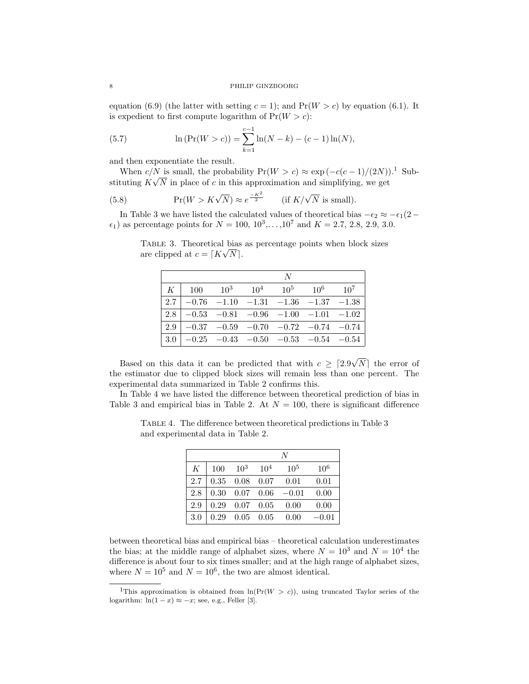equation (6.9) (the latter with setting  $c = 1$ ); and  $Pr(W > c)$  by equation (6.1). It is expedient to first compute logarithm of  $Pr(W > c)$ :

(5.7) 
$$
\ln(\Pr(W > c)) = \sum_{k=1}^{c-1} \ln(N - k) - (c - 1)\ln(N),
$$

and then exponentiate the result.

When  $c/N$  is small, the probability  $Pr(W > c) \approx exp(-c(c-1)/(2N))$ .<sup>1</sup> Substituting  $K\sqrt{N}$  in place of c in this approximation and simplifying, we get

(5.8) 
$$
\Pr(W > K\sqrt{N}) \approx e^{\frac{-K^2}{2}} \quad \text{(if } K/\sqrt{N} \text{ is small)}.
$$

In Table 3 we have listed the calculated values of theoretical bias  $-\epsilon_2 \approx -\epsilon_1(2-\epsilon_2)$  $\epsilon_1$ ) as percentage points for  $N = 100, 10^3, \ldots, 10^7$  and  $K = 2.7, 2.8, 2.9, 3.0$ .

TABLE 3. Theoretical bias as percentage points when block sizes are clipped at  $c = [K\sqrt{N}]$ .

|                                                                   |  | N |                                                             |
|-------------------------------------------------------------------|--|---|-------------------------------------------------------------|
| $K \begin{array}{ l} 100 \end{array}$ $10^3$ $10^4$ $10^5$ $10^6$ |  |   | $10^{7}$                                                    |
|                                                                   |  |   | $\vert$ 2.7 $\vert$ -0.76 -1.10 -1.31 -1.36 -1.37 -1.38     |
|                                                                   |  |   | $\vert 2.8 \vert -0.53 -0.81 -0.96 -1.00 -1.01 -1.02 \vert$ |
|                                                                   |  |   | $\vert$ 2.9 $\vert$ -0.37 -0.59 -0.70 -0.72 -0.74 -0.74     |
|                                                                   |  |   | $ 3.0 $ -0.25 -0.43 -0.50 -0.53 -0.54 -0.54                 |

Based on this data it can be predicted that with  $c \geq 2.9$ √  $N$  the error of the estimator due to clipped block sizes will remain less than one percent. The experimental data summarized in Table 2 confirms this.

In Table 4 we have listed the difference between theoretical prediction of bias in Table 3 and empirical bias in Table 2. At  $N = 100$ , there is significant difference

|     | N    |                 |          |                 |                 |  |
|-----|------|-----------------|----------|-----------------|-----------------|--|
| K   | 100  | 10 <sup>3</sup> | $10^{4}$ | 10 <sup>5</sup> | 10 <sup>6</sup> |  |
| 2.7 | 0.35 | 0.08            | 0.07     | 0.01            | 0.01            |  |
| 2.8 | 0.30 | 0.07            | 0.06     | $-0.01$         | 0.00            |  |
| 2.9 | 0.29 | 0.07            | 0.05     | 0.00            | 0.00            |  |
| 3.0 | 0.29 | 0.05            | 0.05     | 0.00            | 0.01            |  |

Table 4. The difference between theoretical predictions in Table 3 and experimental data in Table 2.

between theoretical bias and empirical bias – theoretical calculation underestimates the bias; at the middle range of alphabet sizes, where  $N = 10^3$  and  $N = 10^4$  the difference is about four to six times smaller; and at the high range of alphabet sizes, where  $N = 10^5$  and  $N = 10^6$ , the two are almost identical.

<sup>&</sup>lt;sup>1</sup>This approximation is obtained from  $ln(Pr(W > c))$ , using truncated Taylor series of the logarithm:  $ln(1-x) \approx -x$ ; see, e.g., Feller [3].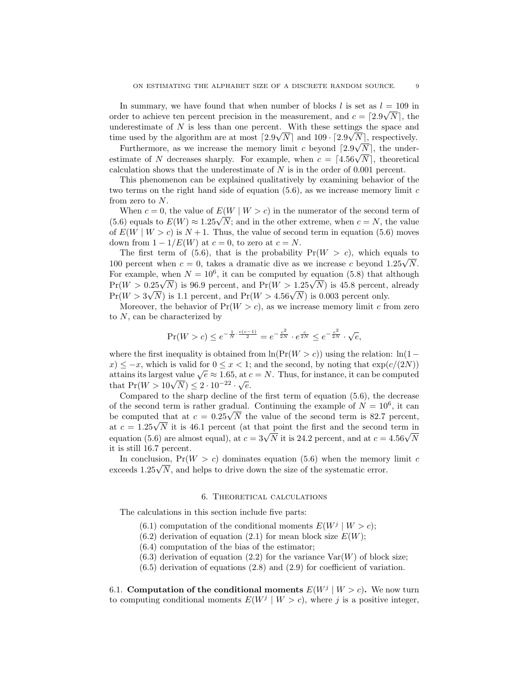In summary, we have found that when number of blocks l is set as  $l = 109$  in order to achieve ten percent precision in the measurement, and  $c = \lfloor 2.9\sqrt{N} \rfloor$ , the underestimate of N is less than one percent. With these settings the space and time used by the algorithm are at most  $\lceil 2.9\sqrt{N} \rceil$  and  $109 \cdot \lceil 2.9\sqrt{N} \rceil$ , respectively.

Furthermore, as we increase the memory limit c beyond  $[2.9\sqrt{N}]$ , the under-Furthermore, as we increase the memory limit c beyond  $|2.9\sqrt{N}|$ , the under-<br>estimate of N decreases sharply. For example, when  $c = [4.56\sqrt{N}]$ , theoretical calculation shows that the underestimate of N is in the order of 0.001 percent.

This phenomenon can be explained qualitatively by examining behavior of the two terms on the right hand side of equation  $(5.6)$ , as we increase memory limit c from zero to N.

When  $c = 0$ , the value of  $E(W | W > c)$  in the numerator of the second term of When  $c = 0$ , the value of  $E(W \mid W > c)$  in the numerator of the second term of (5.6) equals to  $E(W) \approx 1.25\sqrt{N}$ ; and in the other extreme, when  $c = N$ , the value of  $E(W \mid W > c)$  is  $N + 1$ . Thus, the value of second term in equation (5.6) moves down from  $1 - 1/E(W)$  at  $c = 0$ , to zero at  $c = N$ .

The first term of (5.6), that is the probability  $Pr(W > c)$ , which equals to The first term of (5.0), that is the probability  $Pr(W > c)$ , which equals to 100 percent when  $c = 0$ , takes a dramatic dive as we increase c beyond  $1.25\sqrt{N}$ . For example, when  $N = 10^6$ , it can be computed by equation (5.8) that although For example, when  $N = 10^{\circ}$ , it can be computed by equation (5.8) that although<br>Pr( $W > 0.25\sqrt{N}$ ) is 96.9 percent, and  $Pr(W > 1.25\sqrt{N})$  is 45.8 percent, already  $Pr(W > 0.25 \sqrt{N})$  is 90.9 percent, and  $Pr(W > 1.25 \sqrt{N})$  is 45.6 percent,<br> $Pr(W > 3\sqrt{N})$  is 1.1 percent, and  $Pr(W > 4.56 \sqrt{N})$  is 0.003 percent only.

Moreover, the behavior of  $Pr(W > c)$ , as we increase memory limit c from zero to N, can be characterized by

$$
\Pr(W > c) \le e^{-\frac{1}{N} \cdot \frac{c(c-1)}{2}} = e^{-\frac{c^2}{2N}} \cdot e^{\frac{c}{2N}} \le e^{-\frac{c^2}{2N}} \cdot \sqrt{e},
$$

where the first inequality is obtained from  $\ln(\Pr(W > c))$  using the relation:  $\ln(1$  $x \leq -x$ , which is valid for  $0 \leq x < 1$ ; and the second, by noting that  $\exp(c/(2N))$  $a_1 \leq -x$ , which is value  $\sqrt{e} \approx 1.65$ , at  $c = N$ . Thus, for instance, it can be computed attains its largest value  $\sqrt{e} \approx 1.65$ , at  $c = N$ . Thus, for instance, it can be computed attains its largest value  $\sqrt{e} \approx 1.05$ , at  $\alpha$ <br>that Pr $(W > 10\sqrt{N}) \leq 2\cdot 10^{-22}\cdot \sqrt{e}.$ 

Compared to the sharp decline of the first term of equation (5.6), the decrease of the second term is rather gradual. Continuing the example of  $N = 10^6$ , it can or the second term is rather gradual. Continuing the example or  $N = 10^{\circ}$ , it can<br>be computed that at  $c = 0.25\sqrt{N}$  the value of the second term is 82.7 percent, be computed that at  $c = 0.25\sqrt{N}$  the value of the second term is 82.7 percent, at  $c = 1.25\sqrt{N}$  it is 46.1 percent (at that point the first and the second term in at  $c = 1.25\sqrt{N}$  it is 40.1 percent (at that point the first and the second term in equation (5.6) are almost equal), at  $c = 3\sqrt{N}$  it is 24.2 percent, and at  $c = 4.56\sqrt{N}$ it is still 16.7 percent.

In conclusion,  $Pr(W > c)$  dominates equation (5.6) when the memory limit c In conclusion,  $Pr(W > c)$  dominates equation (5.0) when the memory exceeds  $1.25\sqrt{N}$ , and helps to drive down the size of the systematic error.

### 6. Theoretical calculations

The calculations in this section include five parts:

- (6.1) computation of the conditional moments  $E(W^j | W > c)$ ;
- $(6.2)$  derivation of equation  $(2.1)$  for mean block size  $E(W)$ ;
- (6.4) computation of the bias of the estimator;
- $(6.3)$  derivation of equation  $(2.2)$  for the variance  $Var(W)$  of block size;
- $(6.5)$  derivation of equations  $(2.8)$  and  $(2.9)$  for coefficient of variation.

6.1. Computation of the conditional moments  $E(W^j | W > c)$ . We now turn to computing conditional moments  $E(W^j | W > c)$ , where j is a positive integer,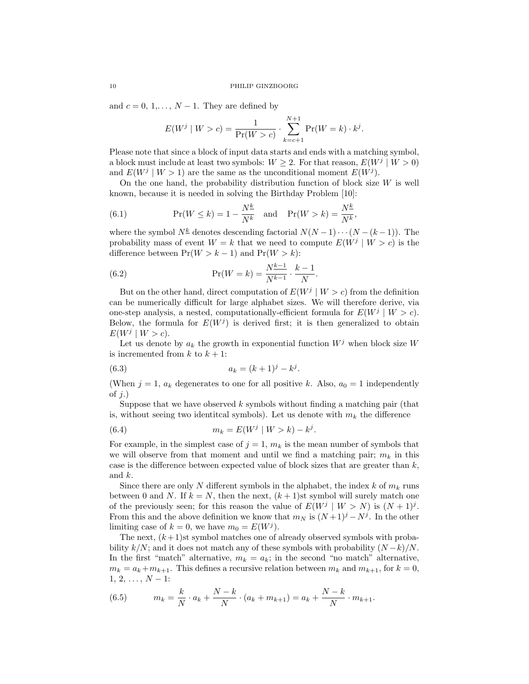and  $c = 0, 1, \ldots, N - 1$ . They are defined by

$$
E(W^j | W > c) = \frac{1}{\Pr(W > c)} \cdot \sum_{k=c+1}^{N+1} \Pr(W = k) \cdot k^j.
$$

Please note that since a block of input data starts and ends with a matching symbol, a block must include at least two symbols:  $W \geq 2$ . For that reason,  $E(W^j | W > 0)$ and  $E(W^j | W > 1)$  are the same as the unconditional moment  $E(W^j)$ .

On the one hand, the probability distribution function of block size  $W$  is well known, because it is needed in solving the Birthday Problem [10]:

(6.1) 
$$
\Pr(W \le k) = 1 - \frac{N^{\underline{k}}}{N^{\underline{k}}} \text{ and } \Pr(W > k) = \frac{N^{\underline{k}}}{N^{\underline{k}}},
$$

where the symbol  $N^{\underline{k}}$  denotes descending factorial  $N(N-1)\cdots(N-(k-1))$ . The probability mass of event  $W = k$  that we need to compute  $E(W^{j} | W > c)$  is the difference between  $Pr(W > k - 1)$  and  $Pr(W > k)$ :

(6.2) 
$$
\Pr(W = k) = \frac{N^{k-1}}{N^{k-1}} \cdot \frac{k-1}{N}.
$$

But on the other hand, direct computation of  $E(W^j | W > c)$  from the definition can be numerically difficult for large alphabet sizes. We will therefore derive, via one-step analysis, a nested, computationally-efficient formula for  $E(W^j | W > c)$ . Below, the formula for  $E(W^j)$  is derived first; it is then generalized to obtain  $E(W^j | W > c).$ 

Let us denote by  $a_k$  the growth in exponential function  $W^j$  when block size W is incremented from  $k$  to  $k + 1$ :

(6.3) 
$$
a_k = (k+1)^j - k^j.
$$

(When  $j = 1$ ,  $a_k$  degenerates to one for all positive k. Also,  $a_0 = 1$  independently of  $j$ .)

Suppose that we have observed  $k$  symbols without finding a matching pair (that is, without seeing two identitcal symbols). Let us denote with  $m_k$  the difference

(6.4) 
$$
m_k = E(W^j | W > k) - k^j.
$$

For example, in the simplest case of  $j = 1, m_k$  is the mean number of symbols that we will observe from that moment and until we find a matching pair;  $m_k$  in this case is the difference between expected value of block sizes that are greater than  $k$ , and k.

Since there are only N different symbols in the alphabet, the index k of  $m_k$  runs between 0 and N. If  $k = N$ , then the next,  $(k + 1)$ st symbol will surely match one of the previously seen; for this reason the value of  $E(W^j | W > N)$  is  $(N + 1)^j$ . From this and the above definition we know that  $m_N$  is  $(N+1)^j - N^j$ . In the other limiting case of  $k = 0$ , we have  $m_0 = E(W^j)$ .

The next,  $(k+1)$ st symbol matches one of already observed symbols with probability  $k/N$ ; and it does not match any of these symbols with probability  $(N-k)/N$ . In the first "match" alternative,  $m_k = a_k$ ; in the second "no match" alternative,  $m_k = a_k + m_{k+1}$ . This defines a recursive relation between  $m_k$  and  $m_{k+1}$ , for  $k = 0$ ,  $1, 2, \ldots, N-1$ :

(6.5) 
$$
m_k = \frac{k}{N} \cdot a_k + \frac{N-k}{N} \cdot (a_k + m_{k+1}) = a_k + \frac{N-k}{N} \cdot m_{k+1}.
$$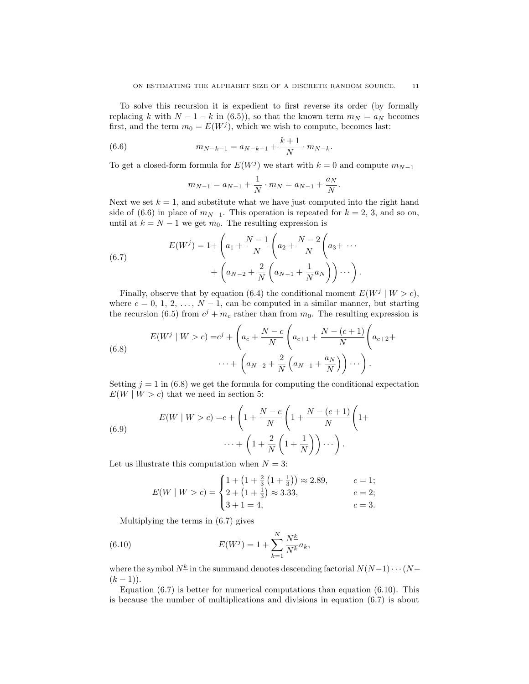To solve this recursion it is expedient to first reverse its order (by formally replacing k with  $N - 1 - k$  in (6.5)), so that the known term  $m_N = a_N$  becomes first, and the term  $m_0 = E(W^j)$ , which we wish to compute, becomes last:

(6.6) 
$$
m_{N-k-1} = a_{N-k-1} + \frac{k+1}{N} \cdot m_{N-k}.
$$

To get a closed-form formula for  $E(W^j)$  we start with  $k = 0$  and compute  $m_{N-1}$ 

$$
m_{N-1} = a_{N-1} + \frac{1}{N} \cdot m_N = a_{N-1} + \frac{a_N}{N}.
$$

Next we set  $k = 1$ , and substitute what we have just computed into the right hand side of (6.6) in place of  $m_{N-1}$ . This operation is repeated for  $k = 2, 3$ , and so on, until at  $k = N - 1$  we get  $m_0$ . The resulting expression is

(6.7) 
$$
E(W^{j}) = 1 + \left(a_{1} + \frac{N-1}{N}\left(a_{2} + \frac{N-2}{N}\left(a_{3} + \cdots + \left(a_{N-2} + \frac{2}{N}\left(a_{N-1} + \frac{1}{N}a_{N}\right)\right)\cdots\right)\right).
$$

Finally, observe that by equation (6.4) the conditional moment  $E(W^j | W > c)$ , where  $c = 0, 1, 2, ..., N - 1$ , can be computed in a similar manner, but starting the recursion (6.5) from  $c^j + m_c$  rather than from  $m_0$ . The resulting expression is

(6.8) 
$$
E(W^j | W > c) = c^j + \left(a_c + \frac{N-c}{N}\left(a_{c+1} + \frac{N-(c+1)}{N}\left(a_{c+2} + \frac{N-(N-1)}{N}\right)a_{c+3}\right) + \left(a_{N-2} + \frac{2}{N}\left(a_{N-1} + \frac{a_N}{N}\right)\right)\cdots\right).
$$

Setting  $j = 1$  in (6.8) we get the formula for computing the conditional expectation  $E(W \mid W > c)$  that we need in section 5:

(6.9) 
$$
E(W \mid W > c) = c + \left(1 + \frac{N - c}{N}\left(1 + \frac{N - (c+1)}{N}\left(1 + \frac{N + (c+1)}{N}\right)\right)\cdots\right) + \left(1 + \frac{2}{N}\left(1 + \frac{1}{N}\right)\right)\cdots\right).
$$

Let us illustrate this computation when  $N = 3$ :

$$
E(W \mid W > c) = \begin{cases} 1 + \left(1 + \frac{2}{3}\left(1 + \frac{1}{3}\right)\right) \approx 2.89, & c = 1; \\ 2 + \left(1 + \frac{1}{3}\right) \approx 3.33, & c = 2; \\ 3 + 1 = 4, & c = 3. \end{cases}
$$

Multiplying the terms in (6.7) gives

(6.10) 
$$
E(W^{j}) = 1 + \sum_{k=1}^{N} \frac{N^{k}}{N^{k}} a_{k},
$$

where the symbol  $N^{\underline{k}}$  in the summand denotes descending factorial  $N(N-1)\cdots(N-1)$  $(k-1)$ ).

Equation  $(6.7)$  is better for numerical computations than equation  $(6.10)$ . This is because the number of multiplications and divisions in equation (6.7) is about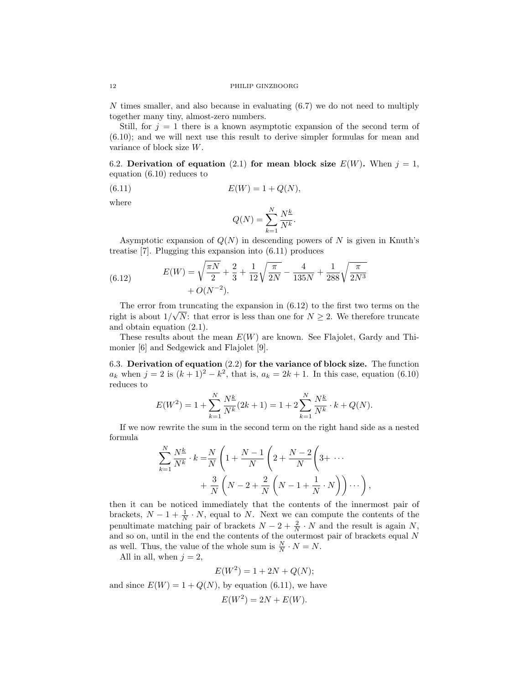N times smaller, and also because in evaluating (6.7) we do not need to multiply together many tiny, almost-zero numbers.

Still, for  $j = 1$  there is a known asymptotic expansion of the second term of (6.10); and we will next use this result to derive simpler formulas for mean and variance of block size W.

6.2. Derivation of equation (2.1) for mean block size  $E(W)$ . When  $j = 1$ , equation (6.10) reduces to

(6.11) 
$$
E(W) = 1 + Q(N),
$$

where

$$
Q(N) = \sum_{k=1}^{N} \frac{N^{\underline{k}}}{N^k}.
$$

Asymptotic expansion of  $Q(N)$  in descending powers of N is given in Knuth's treatise [7]. Plugging this expansion into (6.11) produces

(6.12) 
$$
E(W) = \sqrt{\frac{\pi N}{2}} + \frac{2}{3} + \frac{1}{12} \sqrt{\frac{\pi}{2N}} - \frac{4}{135N} + \frac{1}{288} \sqrt{\frac{\pi}{2N^3}} + O(N^{-2}).
$$

The error from truncating the expansion in  $(6.12)$  to the first two terms on the right is about  $1/\sqrt{N}$ : that error is less than one for  $N \geq 2$ . We therefore truncate and obtain equation (2.1).

These results about the mean  $E(W)$  are known. See Flajolet, Gardy and Thimonier [6] and Sedgewick and Flajolet [9].

6.3. Derivation of equation (2.2) for the variance of block size. The function  $a_k$  when  $j = 2$  is  $(k + 1)^2 - k^2$ , that is,  $a_k = 2k + 1$ . In this case, equation (6.10) reduces to

$$
E(W^{2}) = 1 + \sum_{k=1}^{N} \frac{N^{k}}{N^{k}} (2k+1) = 1 + 2 \sum_{k=1}^{N} \frac{N^{k}}{N^{k}} \cdot k + Q(N).
$$

If we now rewrite the sum in the second term on the right hand side as a nested formula

$$
\sum_{k=1}^{N} \frac{N^{\underline{k}}}{N^k} \cdot k = \frac{N}{N} \left( 1 + \frac{N-1}{N} \left( 2 + \frac{N-2}{N} \left( 3 + \cdots + \frac{3}{N} \left( N - 2 + \frac{2}{N} \left( N - 1 + \frac{1}{N} \cdot N \right) \right) \cdots \right) \right)
$$

then it can be noticed immediately that the contents of the innermost pair of brackets,  $N-1+\frac{1}{N} \cdot N$ , equal to N. Next we can compute the contents of the penultimate matching pair of brackets  $N-2+\frac{2}{N} \cdot N$  and the result is again N, and so on, until in the end the contents of the outermost pair of brackets equal  $N$ as well. Thus, the value of the whole sum is  $\frac{N}{N} \cdot N = N$ .

All in all, when  $j = 2$ ,

$$
E(W^2) = 1 + 2N + Q(N);
$$

and since  $E(W) = 1 + Q(N)$ , by equation (6.11), we have

$$
E(W^2) = 2N + E(W).
$$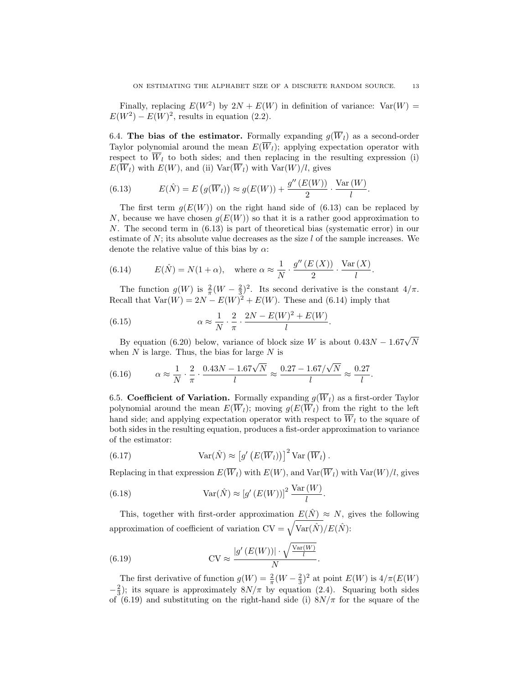Finally, replacing  $E(W^2)$  by  $2N + E(W)$  in definition of variance:  $Var(W) =$  $E(W^2) - E(W)^2$ , results in equation (2.2).

6.4. The bias of the estimator. Formally expanding  $g(\overline{W}_l)$  as a second-order Taylor polynomial around the mean  $E(\overline{W}_l)$ ; applying expectation operator with respect to  $\overline{W}_l$  to both sides; and then replacing in the resulting expression (i)  $E(\overline{W}_l)$  with  $E(W)$ , and (ii)  $Var(\overline{W}_l)$  with  $Var(W)/l$ , gives

(6.13) 
$$
E(\hat{N}) = E(g(\overline{W}_l)) \approx g(E(W)) + \frac{g''(E(W))}{2} \cdot \frac{\text{Var}(W)}{l}.
$$

The first term  $g(E(W))$  on the right hand side of (6.13) can be replaced by N, because we have chosen  $g(E(W))$  so that it is a rather good approximation to N. The second term in (6.13) is part of theoretical bias (systematic error) in our estimate of  $N$ ; its absolute value decreases as the size  $l$  of the sample increases. We denote the relative value of this bias by  $\alpha$ :

(6.14) 
$$
E(\hat{N}) = N(1+\alpha), \text{ where } \alpha \approx \frac{1}{N} \cdot \frac{g''(E(X))}{2} \cdot \frac{\text{Var}(X)}{l}
$$

The function  $g(W)$  is  $\frac{2}{\pi}(W - \frac{2}{3})^2$ . Its second derivative is the constant  $4/\pi$ . Recall that  $Var(W) = 2N - E(W)^2 + E(W)$ . These and (6.14) imply that

(6.15) 
$$
\alpha \approx \frac{1}{N} \cdot \frac{2}{\pi} \cdot \frac{2N - E(W)^2 + E(W)}{l}.
$$

By equation (6.20) below, variance of block size W is about  $0.43N - 1.67\sqrt{N}$ when  $N$  is large. Thus, the bias for large  $N$  is

(6.16) 
$$
\alpha \approx \frac{1}{N} \cdot \frac{2}{\pi} \cdot \frac{0.43N - 1.67\sqrt{N}}{l} \approx \frac{0.27 - 1.67/\sqrt{N}}{l} \approx \frac{0.27}{l}.
$$

6.5. Coefficient of Variation. Formally expanding  $g(\overline{W}_l)$  as a first-order Taylor polynomial around the mean  $E(\overline{W}_l)$ ; moving  $g(E(\overline{W}_l))$  from the right to the left hand side; and applying expectation operator with respect to  $\overline{W}_l$  to the square of both sides in the resulting equation, produces a fist-order approximation to variance of the estimator:

(6.17) 
$$
Var(\hat{N}) \approx [g'(E(\overline{W}_l))]^2 Var(\overline{W}_l).
$$

Replacing in that expression  $E(\overline{W}_l)$  with  $E(W)$ , and  $Var(\overline{W}_l)$  with  $Var(W)/l$ , gives

(6.18) 
$$
Var(\hat{N}) \approx [g'(E(W))]^{2} \frac{Var(W)}{l}.
$$

This, together with first-order approximation  $E(\hat{N}) \approx N$ , gives the following approximation of coefficient of variation  $CV = \sqrt{\text{Var}(\hat{N})}/E(\hat{N})$ :

(6.19) 
$$
CV \approx \frac{|g'(E(W))| \cdot \sqrt{\frac{Var(W)}{l}}}{N}
$$

The first derivative of function  $g(W) = \frac{2}{\pi}(W - \frac{2}{3})^2$  at point  $E(W)$  is  $4/\pi(E(W))$  $-\frac{2}{3}$ ); its square is approximately  $8N/\pi$  by equation (2.4). Squaring both sides of (6.19) and substituting on the right-hand side (i)  $8N/\pi$  for the square of the

.

.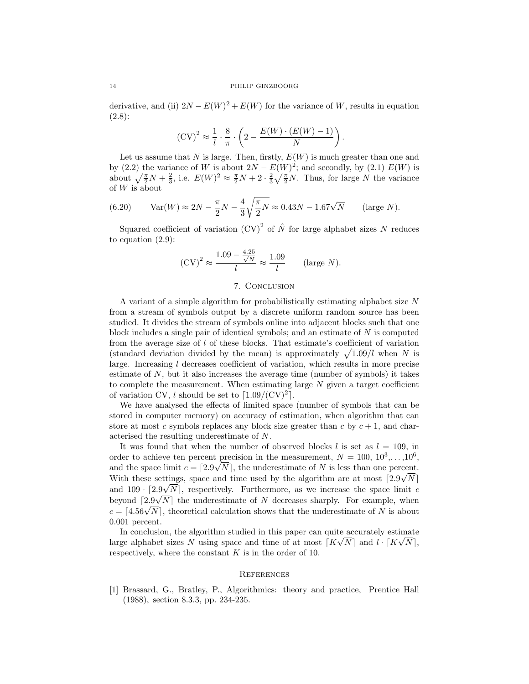derivative, and (ii)  $2N - E(W)^2 + E(W)$  for the variance of W, results in equation (2.8):

$$
(\mathrm{CV})^2 \approx \frac{1}{l} \cdot \frac{8}{\pi} \cdot \left(2 - \frac{E(W) \cdot (E(W) - 1)}{N}\right).
$$

Let us assume that N is large. Then, firstly,  $E(W)$  is much greater than one and by (2.2) the variance of W is about  $2N - E(W)^2$ ; and secondly, by (2.1)  $E(W)$  is about  $\sqrt{\frac{\pi}{2}N} + \frac{2}{3}$ , i.e.  $E(W)^2 \approx \frac{\pi}{2}N + 2 \cdot \frac{2}{3}\sqrt{\frac{\pi}{2}N}$ . Thus, for large N the variance of W is about

(6.20) 
$$
Var(W) \approx 2N - \frac{\pi}{2}N - \frac{4}{3}\sqrt{\frac{\pi}{2}N} \approx 0.43N - 1.67\sqrt{N} \quad \text{(large } N\text{)}.
$$

Squared coefficient of variation  $(CV)^2$  of  $\hat{N}$  for large alphabet sizes N reduces to equation (2.9):

$$
(\text{CV})^2 \approx \frac{1.09 - \frac{4.25}{\sqrt{N}}}{l} \approx \frac{1.09}{l} \qquad \text{(large } N\text{)}.
$$

# 7. Conclusion

A variant of a simple algorithm for probabilistically estimating alphabet size N from a stream of symbols output by a discrete uniform random source has been studied. It divides the stream of symbols online into adjacent blocks such that one block includes a single pair of identical symbols; and an estimate of N is computed from the average size of  $l$  of these blocks. That estimate's coefficient of variation (standard deviation divided by the mean) is approximately  $\sqrt{1.09/l}$  when N is large. Increasing l decreases coefficient of variation, which results in more precise estimate of N, but it also increases the average time (number of symbols) it takes to complete the measurement. When estimating large  $N$  given a target coefficient of variation CV, l should be set to  $\lceil 1.09/(\text{CV})^2 \rceil$ .

We have analysed the effects of limited space (number of symbols that can be stored in computer memory) on accuracy of estimation, when algorithm that can store at most c symbols replaces any block size greater than c by  $c + 1$ , and characterised the resulting underestimate of N.

It was found that when the number of observed blocks  $l$  is set as  $l = 109$ , in order to achieve ten percent precision in the measurement,  $N = 100, 10^3, \ldots, 10^6$ , and the space limit  $c = \lfloor 2.9\sqrt{N} \rfloor$ , the underestimate of N is less than one percent. With these settings, space and time used by the algorithm are at most  $\lceil 2.9\sqrt{N} \rceil$ and  $109 \cdot [2.9\sqrt{N}]$ , respectively. Furthermore, as we increase the space limit c beyond  $\lceil 2.9\sqrt{N} \rceil$  the underestimate of N decreases sharply. For example, when beyond  $(2.9\sqrt{N})$ , the underestimate of N decreases sharply. For example, when  $c = [4.56\sqrt{N}]$ , theoretical calculation shows that the underestimate of N is about 0.001 percent.

In conclusion, the algorithm studied in this paper can quite accurately estimate large alphabet sizes N using space and time of at most  $\lceil K\sqrt{N} \rceil$  and  $l \cdot \lceil K\sqrt{N} \rceil$ , respectively, where the constant  $K$  is in the order of 10.

# **REFERENCES**

[1] Brassard, G., Bratley, P., Algorithmics: theory and practice, Prentice Hall (1988), section 8.3.3, pp. 234-235.